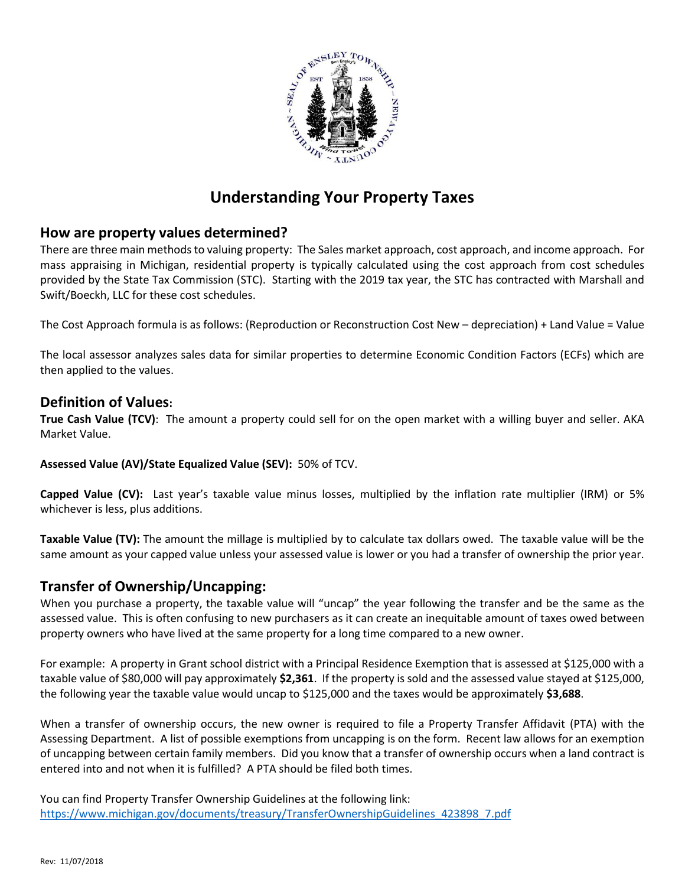

# **Understanding Your Property Taxes**

## **How are property values determined?**

There are three main methods to valuing property: The Sales market approach, cost approach, and income approach. For mass appraising in Michigan, residential property is typically calculated using the cost approach from cost schedules provided by the State Tax Commission (STC). Starting with the 2019 tax year, the STC has contracted with Marshall and Swift/Boeckh, LLC for these cost schedules.

The Cost Approach formula is as follows: (Reproduction or Reconstruction Cost New – depreciation) + Land Value = Value

The local assessor analyzes sales data for similar properties to determine Economic Condition Factors (ECFs) which are then applied to the values.

### **Definition of Values:**

**True Cash Value (TCV)**: The amount a property could sell for on the open market with a willing buyer and seller. AKA Market Value.

**Assessed Value (AV)/State Equalized Value (SEV):** 50% of TCV.

**Capped Value (CV):** Last year's taxable value minus losses, multiplied by the inflation rate multiplier (IRM) or 5% whichever is less, plus additions.

**Taxable Value (TV):** The amount the millage is multiplied by to calculate tax dollars owed. The taxable value will be the same amount as your capped value unless your assessed value is lower or you had a transfer of ownership the prior year.

### **Transfer of Ownership/Uncapping:**

When you purchase a property, the taxable value will "uncap" the year following the transfer and be the same as the assessed value. This is often confusing to new purchasers as it can create an inequitable amount of taxes owed between property owners who have lived at the same property for a long time compared to a new owner.

For example: A property in Grant school district with a Principal Residence Exemption that is assessed at \$125,000 with a taxable value of \$80,000 will pay approximately **\$2,361**. If the property is sold and the assessed value stayed at \$125,000, the following year the taxable value would uncap to \$125,000 and the taxes would be approximately **\$3,688**.

When a transfer of ownership occurs, the new owner is required to file a Property Transfer Affidavit (PTA) with the Assessing Department. A list of possible exemptions from uncapping is on the form. Recent law allows for an exemption of uncapping between certain family members. Did you know that a transfer of ownership occurs when a land contract is entered into and not when it is fulfilled? A PTA should be filed both times.

You can find Property Transfer Ownership Guidelines at the following link: [https://www.michigan.gov/documents/treasury/TransferOwnershipGuidelines\\_423898\\_7.pdf](https://www.michigan.gov/documents/treasury/TransferOwnershipGuidelines_423898_7.pdf)